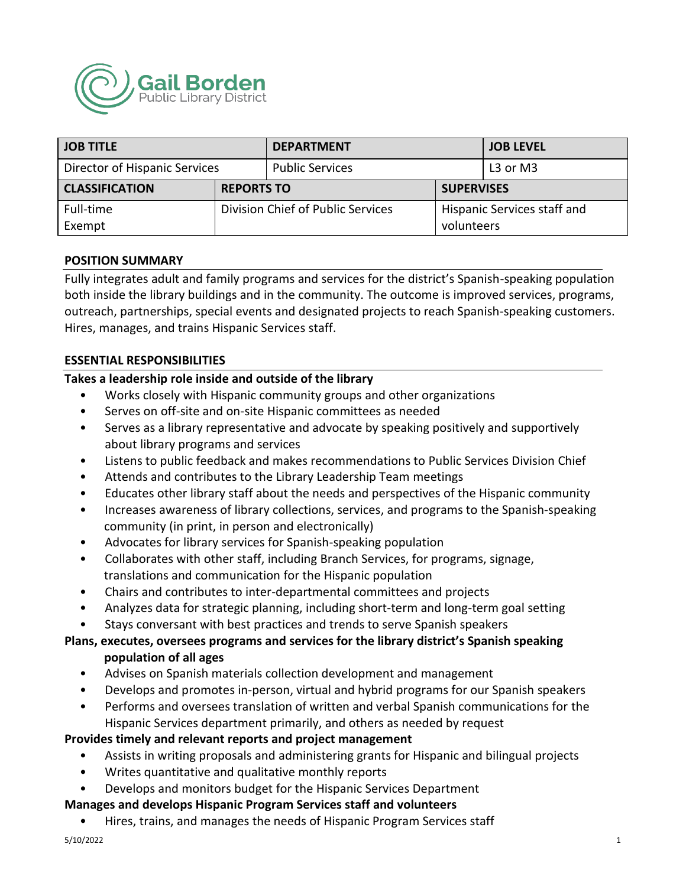

| <b>JOB TITLE</b>              |                                   | <b>DEPARTMENT</b>      |                             | <b>JOB LEVEL</b> |
|-------------------------------|-----------------------------------|------------------------|-----------------------------|------------------|
| Director of Hispanic Services |                                   | <b>Public Services</b> |                             | L3 or M3         |
| <b>CLASSIFICATION</b>         | <b>REPORTS TO</b>                 |                        | <b>SUPERVISES</b>           |                  |
| Full-time                     | Division Chief of Public Services |                        | Hispanic Services staff and |                  |
| Exempt                        |                                   |                        | volunteers                  |                  |

### **POSITION SUMMARY**

Fully integrates adult and family programs and services for the district's Spanish-speaking population both inside the library buildings and in the community. The outcome is improved services, programs, outreach, partnerships, special events and designated projects to reach Spanish-speaking customers. Hires, manages, and trains Hispanic Services staff.

### **ESSENTIAL RESPONSIBILITIES**

# **Takes a leadership role inside and outside of the library**

- Works closely with Hispanic community groups and other organizations
- Serves on off-site and on-site Hispanic committees as needed
- Serves as a library representative and advocate by speaking positively and supportively about library programs and services
- Listens to public feedback and makes recommendations to Public Services Division Chief
- Attends and contributes to the Library Leadership Team meetings
- Educates other library staff about the needs and perspectives of the Hispanic community
- Increases awareness of library collections, services, and programs to the Spanish-speaking community (in print, in person and electronically)
- Advocates for library services for Spanish-speaking population
- Collaborates with other staff, including Branch Services, for programs, signage, translations and communication for the Hispanic population
- Chairs and contributes to inter-departmental committees and projects
- Analyzes data for strategic planning, including short-term and long-term goal setting
- Stays conversant with best practices and trends to serve Spanish speakers

## **Plans, executes, oversees programs and services for the library district's Spanish speaking population of all ages**

- Advises on Spanish materials collection development and management
- Develops and promotes in-person, virtual and hybrid programs for our Spanish speakers
- Performs and oversees translation of written and verbal Spanish communications for the Hispanic Services department primarily, and others as needed by request

# **Provides timely and relevant reports and project management**

- Assists in writing proposals and administering grants for Hispanic and bilingual projects
- Writes quantitative and qualitative monthly reports
- Develops and monitors budget for the Hispanic Services Department

# **Manages and develops Hispanic Program Services staff and volunteers**

• Hires, trains, and manages the needs of Hispanic Program Services staff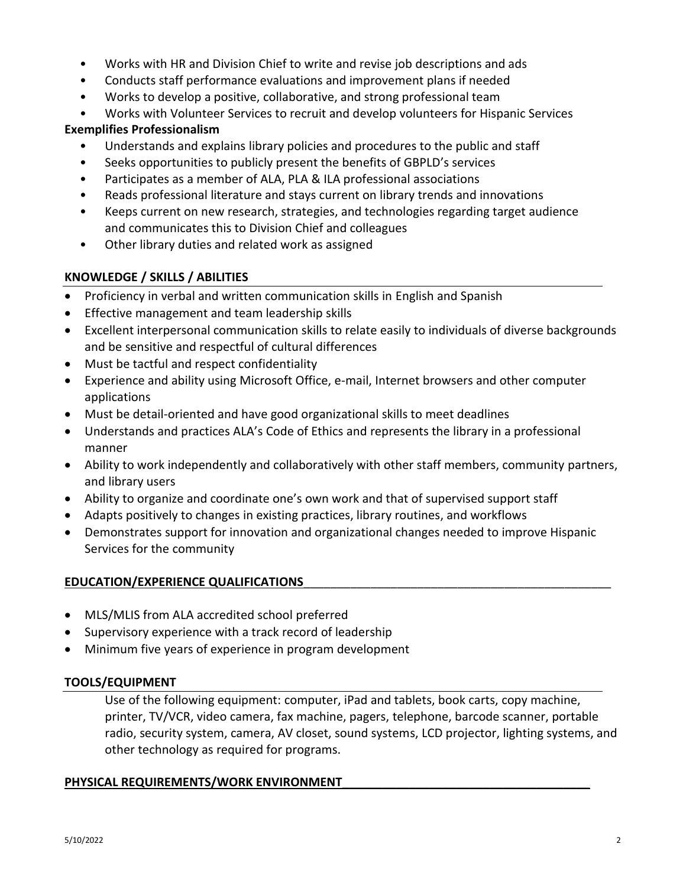- Works with HR and Division Chief to write and revise job descriptions and ads
- Conducts staff performance evaluations and improvement plans if needed
- Works to develop a positive, collaborative, and strong professional team
- Works with Volunteer Services to recruit and develop volunteers for Hispanic Services

# **Exemplifies Professionalism**

- Understands and explains library policies and procedures to the public and staff
- Seeks opportunities to publicly present the benefits of GBPLD's services
- Participates as a member of ALA, PLA & ILA professional associations
- Reads professional literature and stays current on library trends and innovations
- Keeps current on new research, strategies, and technologies regarding target audience and communicates this to Division Chief and colleagues
- Other library duties and related work as assigned

# **KNOWLEDGE / SKILLS / ABILITIES**

- Proficiency in verbal and written communication skills in English and Spanish
- Effective management and team leadership skills
- Excellent interpersonal communication skills to relate easily to individuals of diverse backgrounds and be sensitive and respectful of cultural differences
- Must be tactful and respect confidentiality
- Experience and ability using Microsoft Office, e-mail, Internet browsers and other computer applications
- Must be detail-oriented and have good organizational skills to meet deadlines
- Understands and practices ALA's Code of Ethics and represents the library in a professional manner
- Ability to work independently and collaboratively with other staff members, community partners, and library users
- Ability to organize and coordinate one's own work and that of supervised support staff
- Adapts positively to changes in existing practices, library routines, and workflows
- Demonstrates support for innovation and organizational changes needed to improve Hispanic Services for the community

# **EDUCATION/EXPERIENCE QUALIFICATIONS**\_\_\_\_\_\_\_\_\_\_\_\_\_\_\_\_\_\_\_\_\_\_\_\_\_\_\_\_\_\_\_\_\_\_\_\_\_\_\_\_\_\_\_\_\_\_

- MLS/MLIS from ALA accredited school preferred
- Supervisory experience with a track record of leadership
- Minimum five years of experience in program development

# **TOOLS/EQUIPMENT**

Use of the following equipment: computer, iPad and tablets, book carts, copy machine, printer, TV/VCR, video camera, fax machine, pagers, telephone, barcode scanner, portable radio, security system, camera, AV closet, sound systems, LCD projector, lighting systems, and other technology as required for programs.

# PHYSICAL REQUIREMENTS/WORK ENVIRONMENT